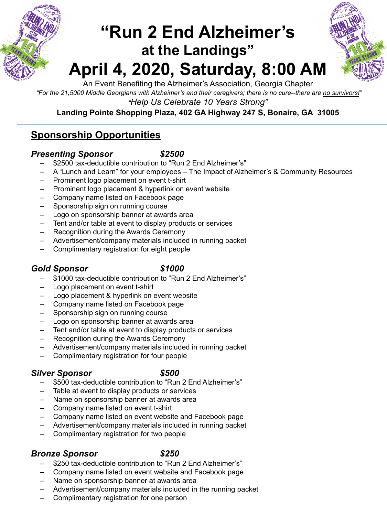

## **"Run 2 End Alzheimer's at the Landings" April 4, 2020, Saturday, 8:00 AM**



An Event Benefiting the Alzheimer's Association, Georgia Chapter

*"For the 21,5000 Middle Georgians with Alzheimer's and their caregivers; there is no cure--there are no survivors!"* 

*"Help Us Celebrate 10 Years Strong"* 

### **Landing Pointe Shopping Plaza, 402 GA Highway 247 S, Bonaire, GA 31005**

### **Sponsorship Opportunities**

### *Presenting Sponsor \$2500*

- \$2500 tax-deductible contribution to "Run 2 End Alzheimer's"
- A "Lunch and Learn" for your employees The Impact of Alzheimer's & Community Resources
- Prominent logo placement on event t-shirt
- Prominent logo placement & hyperlink on event website
- Company name listed on Facebook page
- Sponsorship sign on running course
- Logo on sponsorship banner at awards area
- Tent and/or table at event to display products or services
- Recognition during the Awards Ceremony
- Advertisement/company materials included in running packet
- Complimentary registration for eight people

### *Gold Sponsor \$1000*

- \$1000 tax-deductible contribution to "Run 2 End Alzheimer's"
- Logo placement on event t-shirt
- Logo placement & hyperlink on event website
- Company name listed on Facebook page
- Sponsorship sign on running course
- Logo on sponsorship banner at awards area
- Tent and/or table at event to display products or services
- Recognition during the Awards Ceremony
- Advertisement/company materials included in running packet
- Complimentary registration for four people

### *Silver Sponsor \$500*

- \$500 tax-deductible contribution to "Run 2 End Alzheimer's"
- Table at event to display products or services
- Name on sponsorship banner at awards area
- Company name listed on event t-shirt
- Company name listed on event website and Facebook page
- Advertisement/company materials included in running packet
- Complimentary registration for two people

### *Bronze Sponsor \$250*

- \$250 tax-deductible contribution to "Run 2 End Alzheimer's"
- Company name listed on event website and Facebook page
- Name on sponsorship banner at awards area
- Advertisement/company materials included in the running packet
- Complimentary registration for one person